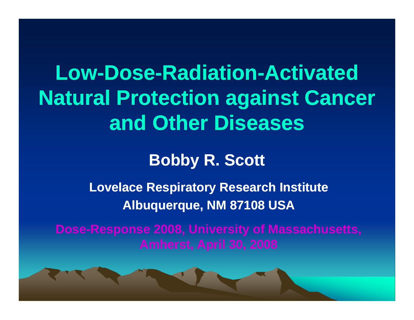**Low-Dose-Radiation-Activated Natural Protection against Cancer and Other Diseases**

#### **Bobby R. Scott**

**Lovelace Respiratory Research Institute Albuquerque, NM 87108 USA**

**Dose-Response 2008, University of Massachusetts, Response**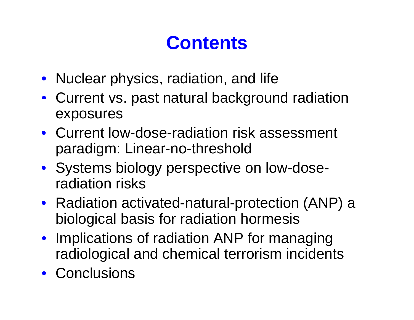### **Contents**

- Nuclear physics, radiation, and life
- Current vs. past natural background radiation exposures
- Current low-dose-radiation risk assessment paradigm: Linear-no-threshold
- Systems biology perspective on low-doseradiation risks
- Radiation activated-natural-protection (ANP) a biological basis for radiation hormesis
- Implications of radiation ANP for managing radiological and chemical terrorism incidents
- Conclusions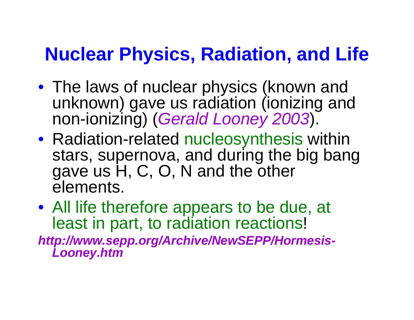### **Nuclear Physics, Radiation, and Life**

- The laws of nuclear physics (known and unknown) gave us radiation (ionizing and non-ionizing) (*Gerald Looney 2003*).
- Radiation-related nucleosynthesis within stars, supernova, and during the big bang gave us H, C, O, N and the other elements.
- All life therefore appears to be due, at least in part, to radiation reactions!

*http://www.sepp.org/Archive/NewSEPP/Hormesis-Looney.htm*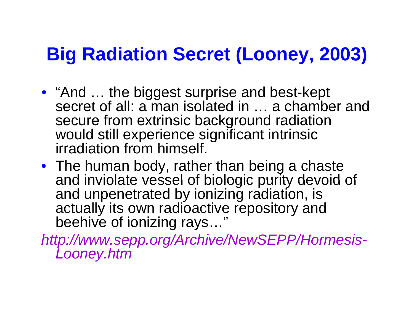### **Big Radiation Secret (Looney, 2003)**

- "And ... the biggest surprise and best-kept secret of all: a man isolated in … a chamber and secure from extrinsic background radiation would still experience significant intrinsic irradiation from himself.
- The human body, rather than being a chaste and inviolate vessel of biologic purity devoid of and unpenetrated by ionizing radiation, is actually its own radioactive repository and beehive of ionizing rays..."

*http://www.sepp.org/Archive/NewSEPP/Hormesis-Looney.htm*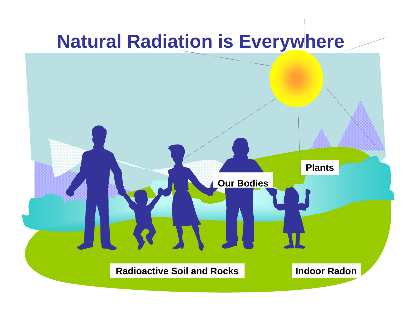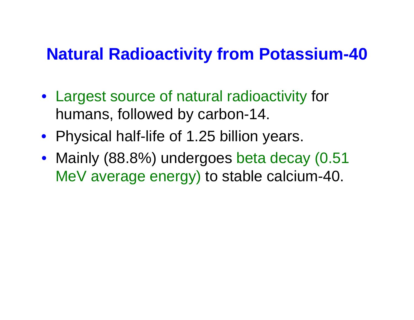#### **Natural Radioactivity from Potassium -40**

- Largest source of natural radioactivity for humans, followed by carbon-14.
- Physical half-life of 1.25 billion years.
- Mainly (88.8%) undergoes beta decay (0.51 MeV average energy) to stable calcium-40.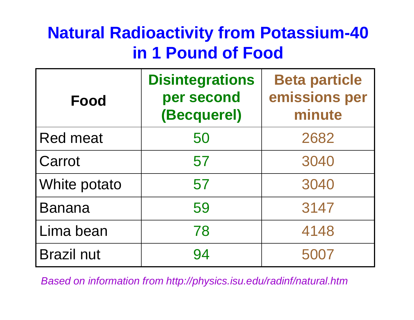### **Natural Radioactivity from Potassium-40 in 1 Pound of Food**

| Food              | <b>Disintegrations</b><br>per second<br>(Becquerel) | <b>Beta particle</b><br>emissions per<br>minute |
|-------------------|-----------------------------------------------------|-------------------------------------------------|
| <b>Red meat</b>   | 50                                                  | 2682                                            |
| Carrot            | 57                                                  | 3040                                            |
| White potato      | 57                                                  | 3040                                            |
| <b>Banana</b>     | 59                                                  | 3147                                            |
| Lima bean         | 78                                                  | 4148                                            |
| <b>Brazil nut</b> | 94                                                  | 5007                                            |

*Based on information from http://physics.isu.edu/radinf/natural.htm*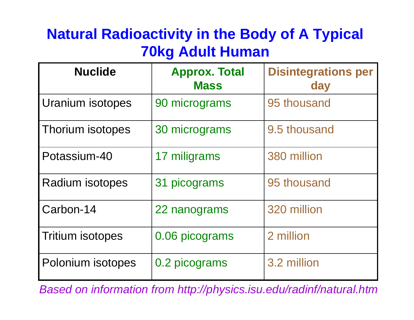#### **Natural Radioactivity in the Body of A Typical 70k g Adult Human**

| <b>Nuclide</b>          | <b>Approx. Total</b><br><b>Mass</b> | <b>Disintegrations per</b><br>day |
|-------------------------|-------------------------------------|-----------------------------------|
| Uranium isotopes        | 90 micrograms                       | 95 thousand                       |
| Thorium isotopes        | 30 micrograms                       | 9.5 thousand                      |
| Potassium-40            | 17 miligrams                        | 380 million                       |
| Radium isotopes         | 31 picograms                        | 95 thousand                       |
| Carbon-14               | 22 nanograms                        | 320 million                       |
| <b>Tritium isotopes</b> | 0.06 picograms                      | 2 million                         |
| Polonium isotopes       | 0.2 picograms                       | 3.2 million                       |

*Based on information from http://physics.isu.edu/radinf/natural.htm*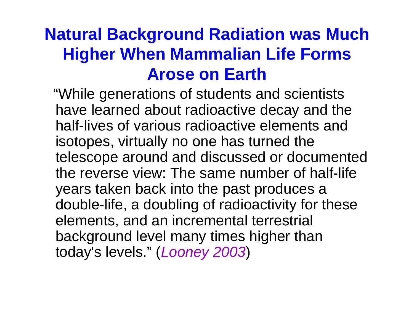#### **Natural Background Radiation was Much Higher When Mammalian Life Forms Arose on Earth**

"While generations of students and scientists have learned about radioactive decay and the half-lives of various radioactive elements and isotopes, virtually no one has turned the telescope around and discussed or documented the reverse view: The same number of half-life years taken back into the past produces a double-life, a doubling of radioactivity for these elements, and an incremental terrestrial background level many times higher than today's levels." (*Looney 2003*)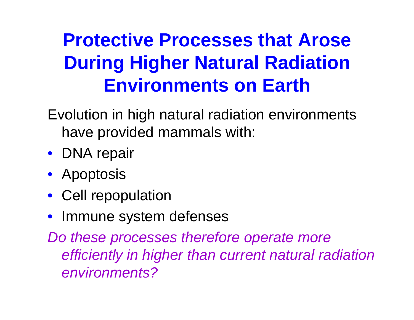## **Protective Processes that Arose During Higher Natural Radiation Environments on Earth**

Evolution in high natural radiation environments have provided mammals with:

- DNA repair
- $\bullet$  Apoptosis
- Cell repopulation
- $\bullet$ Immune system defenses

*Do these processes therefore operate more efficiently in higher than current natural radiation environments?*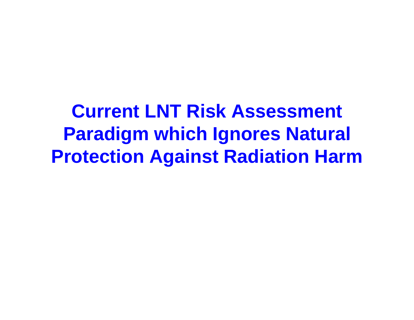**Current LNT Risk Assessment Paradigm which Ignores Natural Protection Against Radiation Harm**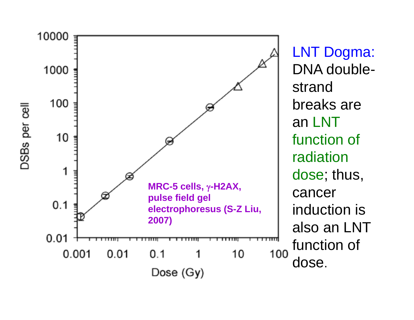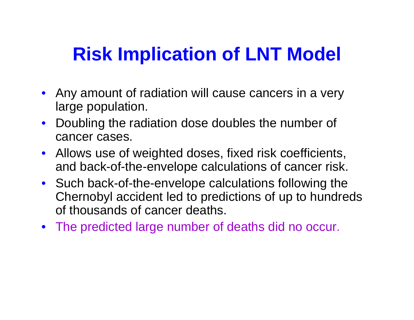### **Risk Implication of LNT Model LNT**

- Any amount of radiation will cause cancers in a very large population.
- Doubling the radiation dose doubles the number of cancer cases.
- Allows use of weighted doses, fixed risk coefficients, and back-of-the-envelope calculations of cancer risk.
- Such back-of-the-envelope calculations following the Chernobyl accident led to predictions of up to hundreds of thousands of cancer deaths.
- The predicted large number of deaths did no occur.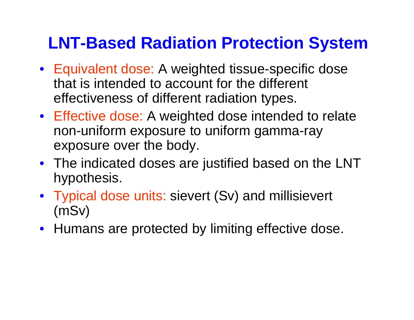#### **LNT-Based Radiation Protection System**

- Equivalent dose: A weighted tissue-specific dose that is intended to account for the different effectiveness of different radiation types.
- Effective dose: A weighted dose intended to relate non-uniform exposure to uniform gamma-ray exposure over the body.
- The indicated doses are justified based on the LNT hypothesis.
- Typical dose units: sievert (Sv) and millisievert (mSv)
- Humans are protected by limiting effective dose.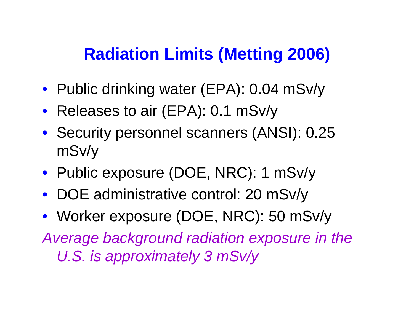#### **Radiation Limits (Metting 2006)**

- Public drinking water (EPA): 0.04 mSv/y
- Releases to air (EPA): 0.1 mSv/y
- Security personnel scanners (ANSI): 0.25 mSv/y
- Public exposure (DOE, NRC): 1 mSv/y
- DOE administrative control: 20 mSv/y

• Worker exposure (DOE, NRC): 50 mSv/y *Average background radiation exposure in the U.S. is approximately 3 mSv/y*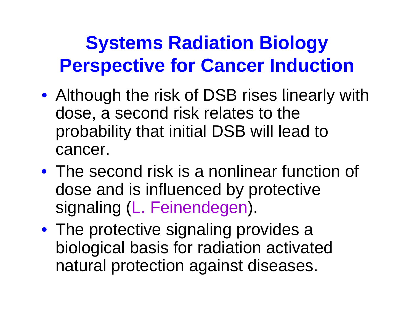### **Systems Radiation Biology Perspective for Cancer Induction**

- Although the risk of DSB rises linearly with dose, a second risk relates to the probability that initial DSB will lead to cancer.
- The second risk is a nonlinear function of dose and is influenced by protective signaling (L. Feinendegen).
- The protective signaling provides a biological basis for radiation activated natural protection against diseases.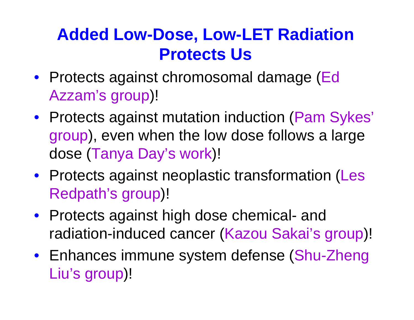### **Added Low-Dose, Low-LET Radiation Protects Us**

- Protects against chromosomal damage (Ed Azzam's group)!
- Protects against mutation induction (Pam Sykes' group), even when the low dose follows a large dose (Tanya Day's work)!
- Protects against neoplastic transformation (Les Redpath's group)!
- Protects against high dose chemical - and radiation-induced cancer (Kazou Sakai's group)!
- Enhances immune system defense (Shu-Zheng Liu's group)!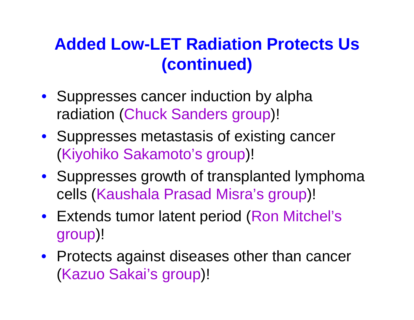#### **Added Low-LET Radiation Protects Us ( ti d) (continued)**

- Suppresses cancer induction by alpha radiation (Chuck Sanders group)!
- Suppresses metastasis of existing cancer (Kiyohiko Sakamoto's group)!
- Suppresses growth of transplanted lymphoma cells (Kaushala Prasad Misra's group)!
- Extends tumor latent period (Ron Mitchel's group)!
- Protects against diseases other than cancer (Kazuo Sakai's group)!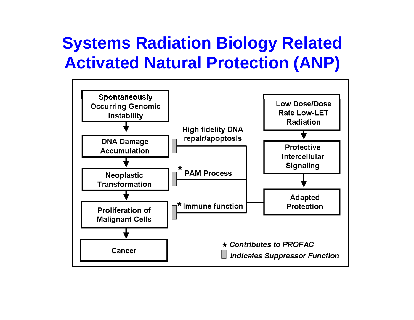#### **Systems Radiation Biology Related Activated Natural Protection (ANP)**

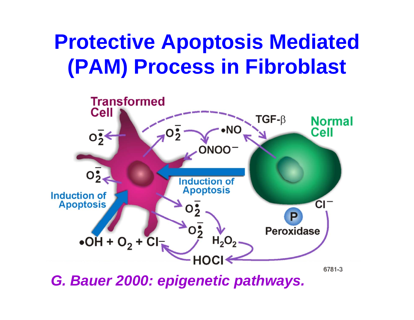# **Protective Apoptosis Mediated (PAM) P i Fib bl (PAM) Process in Fibroblast**



*G. Bauer 2000: epigenetic pathways.*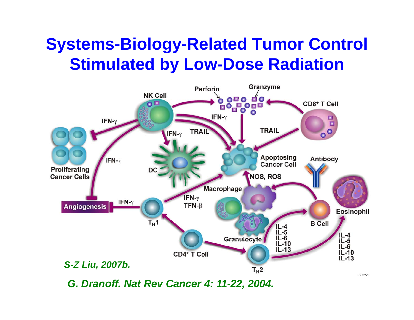#### **Systems-Biology-Related Tumor Control Stimulated by Low-Dose Radiation**



*G. Dranoff. Nat Rev Cancer 4: 11-22, 2004.*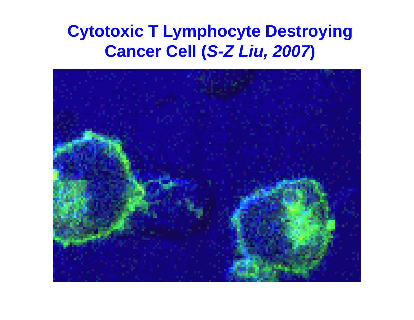#### **Cytotoxic T Lymphocyte Destroying Cancer Cell (** *S -Z Liu, 200 7***)**

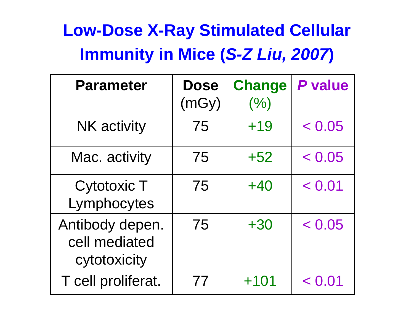### **Low-Dose X-Ray Stimulated Cellular Immunity in Mice (** *S -Z Liu, 2007 Z* **)**

| <b>Parameter</b>                                 | <b>Dose</b><br>(mGy) | <b>Change</b><br>(%) | P value |
|--------------------------------------------------|----------------------|----------------------|---------|
| <b>NK</b> activity                               | 75                   | $+19$                | < 0.05  |
| Mac. activity                                    | 75                   | $+52$                | < 0.05  |
| <b>Cytotoxic T</b><br>Lymphocytes                | 75                   | $+40$                | < 0.01  |
| Antibody depen.<br>cell mediated<br>cytotoxicity | 75                   | $+30$                | < 0.05  |
| T cell proliferat.                               | 77                   | $+101$               | < 0.01  |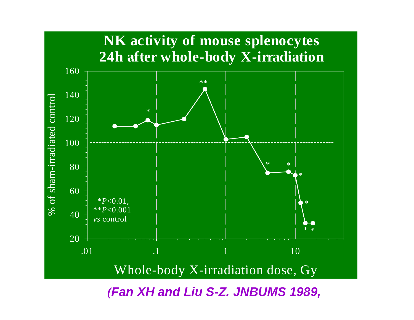

*(Fan XH and Liu S-Z. JNBUMS 1989,*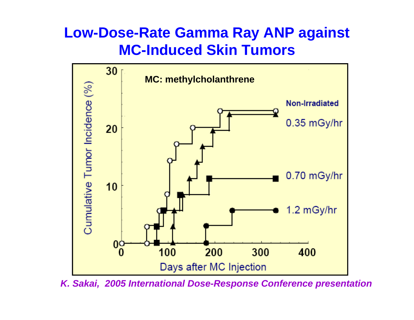#### **Low-Dose-Rate Gamma Ray ANP against MC-Induced Skin Tumors**



*K. Sakai, 2005 International Dose-Response Conference presentation*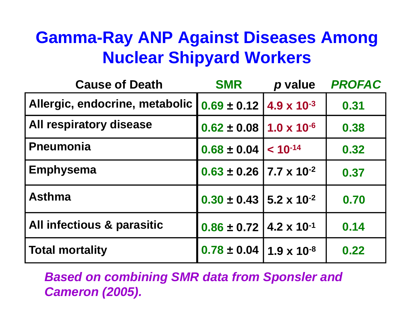#### **Gamma-Ray ANP Against Diseases Among Nuclear Shipyard Workers**

| <b>Cause of Death</b>          | <b>SMR</b>                               | p value      | <b>PROFAC</b> |
|--------------------------------|------------------------------------------|--------------|---------------|
| Allergic, endocrine, metabolic | $0.69 \pm 0.12$   4.9 x 10 <sup>-3</sup> |              | 0.31          |
| All respiratory disease        | $0.62 \pm 0.08$   1.0 x 10 <sup>-6</sup> |              | 0.38          |
| <b>Pneumonia</b>               | $0.68 \pm 0.04$                          | $< 10^{-14}$ | 0.32          |
| <b>Emphysema</b>               | $0.63 \pm 0.26$ 7.7 x 10 <sup>-2</sup>   |              | 0.37          |
| <b>Asthma</b>                  | $0.30 \pm 0.43$   5.2 x 10 <sup>-2</sup> |              | 0.70          |
| All infectious & parasitic     | $0.86 \pm 0.72$   4.2 x 10 <sup>-1</sup> |              | 0.14          |
| <b>Total mortality</b>         | $0.78 \pm 0.04$   1.9 x 10 <sup>-8</sup> |              | 0.22          |

*Based on combining SMR data from Sponsler and Cameron (2005).*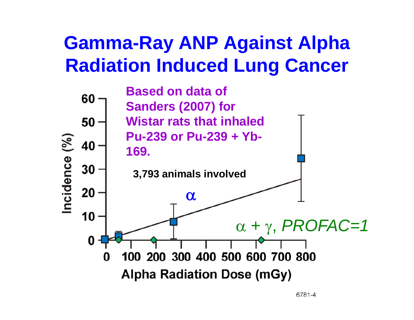### **Gamma-Ray ANP Against Alpha Radiation Induced Lung Cancer**

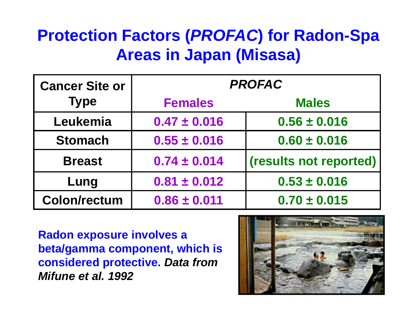#### **Protection Factors (***PROFAC***) for Radon-Spa Areas in Japan (Misasa)**

| <b>Cancer Site or</b> | <b>PROFAC</b>    |                        |  |  |
|-----------------------|------------------|------------------------|--|--|
| <b>Type</b>           | <b>Females</b>   | <b>Males</b>           |  |  |
| Leukemia              | $0.47 \pm 0.016$ | $0.56 \pm 0.016$       |  |  |
| <b>Stomach</b>        | $0.55 \pm 0.016$ | $0.60 \pm 0.016$       |  |  |
| <b>Breast</b>         | $0.74 \pm 0.014$ | (results not reported) |  |  |
| Lung                  | $0.81 \pm 0.012$ | $0.53 \pm 0.016$       |  |  |
| <b>Colon/rectum</b>   | $0.86 \pm 0.011$ | $0.70 \pm 0.015$       |  |  |

**Radon exposure involves a beta/gamma component, which is considered protective protective.** *Data from Mifune et al. 1992*

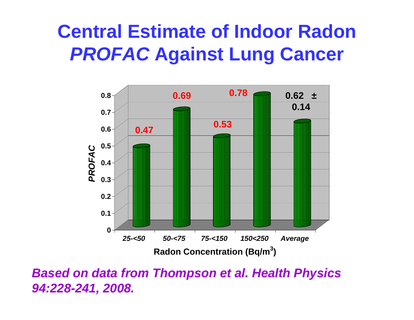### **Central Estimate of Indoor Radon**  *PROFAC* **Against Lung Cancer**



*Based on data from Thompson et al. Health Physics 94:228-241, 2008.*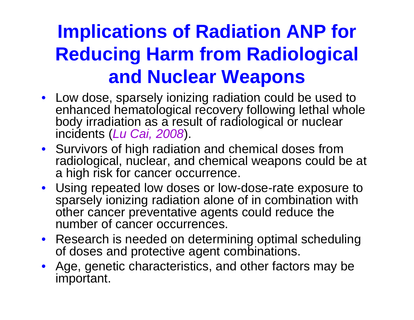## **Implications of Radiation ANP for Reducing Harm from Radiological and Nuclear Weapons**

- Low dose, sparsely ionizing radiation could be used to enhanced hematological recovery following lethal whole body irradiation as a result of radiological or nuclear incidents (*Lu Cai, 200 8*).
- Survivors of high radiation and chemical doses from radiological, nuclear, and chemical weapons could be at a high risk for cancer occurrence.
- Using repeated low doses or low-dose-rate exposure to sparsely ionizing radiation alone of in combination with other cancer preventative agents could reduce the number of cancer occurrences.
- Research is needed on determining optimal scheduling of doses and protective agent combinations.
- Age, genetic characteristics, and other factors may be important.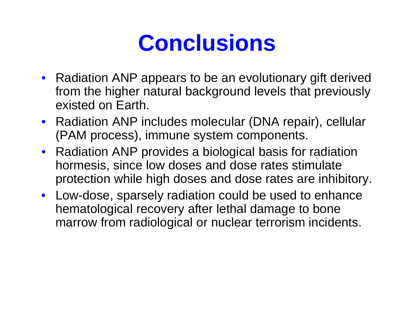# **Conclusions**

- Radiation ANP appears to be an evolutionary gift derived from the higher natural background levels that previously existed on Earth.
- Radiation ANP includes molecular (DNA repair), cellular (PAM process), immune system components.
- Radiation ANP provides a biological basis for radiation hormesis, since low doses and dose rates stimulate protection while high doses and dose rates are inhibitory.
- Low-dose, sparsely radiation could be used to enhance hematological recovery after lethal damage to bone marrow from radiological or nuclear terrorism incidents.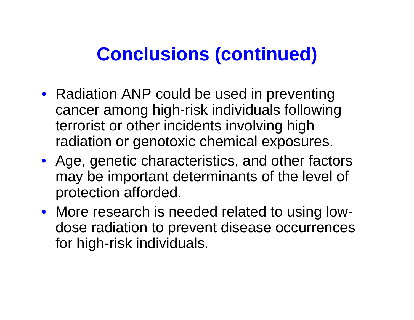### **Conclusions (continued)**

- Radiation ANP could be used in preventing cancer among high-risk individuals following terrorist or other incidents involving high radiation or genotoxic chemical exposures.
- Age, genetic characteristics, and other factors may be important determinants of the level of protection afforded.
- More research is needed related to using lowdose radiation to prevent disease occurrences for high-risk individuals.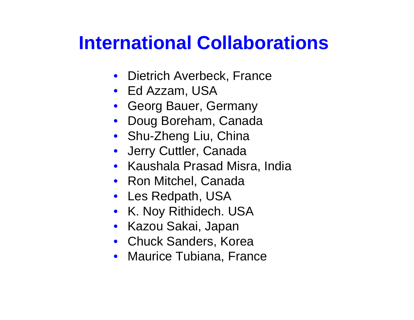### **International Collaborations**

- Dietrich Averbeck, France
- Ed Azzam, USA
- Georg Bauer, Germany
- Doug Boreham, Canada
- Shu-Zheng Liu, China
- Jerry Cuttler, Canada
- Kaushala Prasad Misra, India
- Ron Mitchel, Canada
- Les Redpath, USA
- K. Noy Rithidech. USA
- Kazou Sakai, Japan
- Chuck Sanders, Korea
- $\bullet$  Maurice Tubiana, France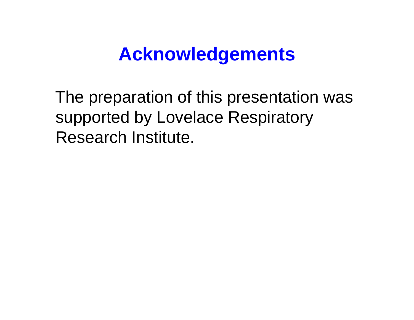### **Acknowledgements**

The preparation of this presentation was supported by Lovelace Respiratory Research Institute.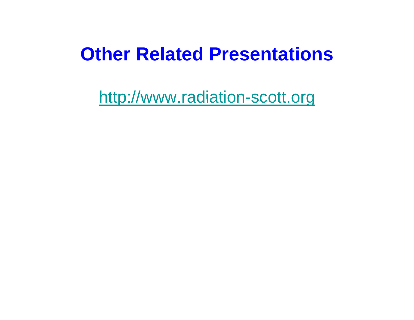### **Other Related Presentations**

http://www.radiation-scott.org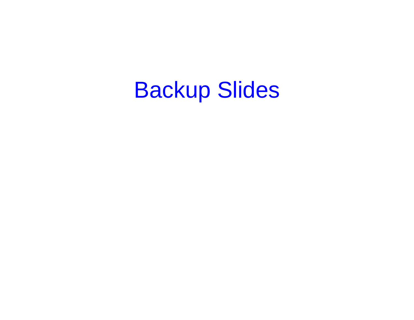# Backup Slides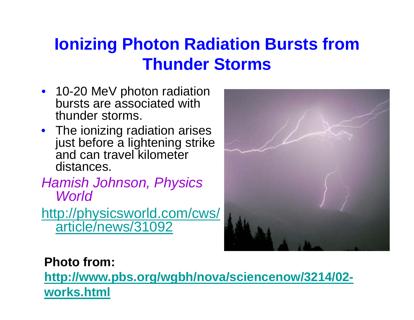#### **Ionizing Photon Radiation Bursts from Th d St Thunder Storms**

- 10-20 MeV photon radiation bursts are associated with thunder storms.
- The ionizing radiation arises just before a lightening strike and can travel kilometer distances.

*H i h J h Ph i Ham is o hnson, Phys ics World*

<u>http://physicsworld.com/cws/</u> article/news/31092



#### **Photo from:**\_\_\_\_\_\_\_\_

**http://www.pbs.org/wgbh/nova/sciencenow/3214/02 works.html**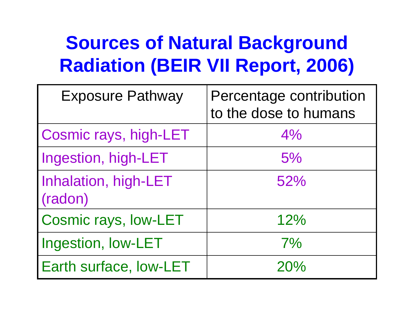### **Sources of Natural Background Radiation (BEIR VII Report, 2006)**

| <b>Exposure Pathway</b>         | Percentage contribution<br>to the dose to humans |
|---------------------------------|--------------------------------------------------|
| Cosmic rays, high-LET           | 4%                                               |
| Ingestion, high-LET             | 5%                                               |
| Inhalation, high-LET<br>(radon) | 52%                                              |
| Cosmic rays, low-LET            | 12%                                              |
| Ingestion, Iow-LET              | 7%                                               |
| Earth surface, low-LET          | 20%                                              |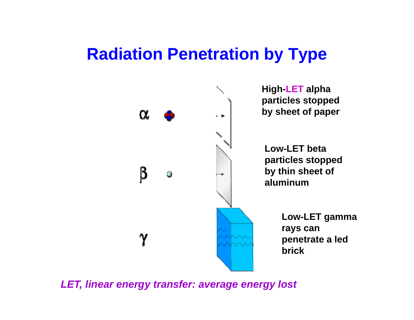#### **Radiation Penetration by Type**



*LET, linear energy transfer: average energy lost*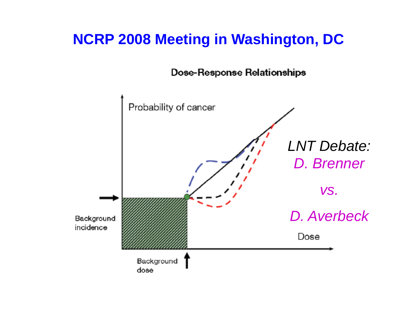#### **NCRP 2008 Meeting in Washington, DC**

**Dose-Response Relationships** 

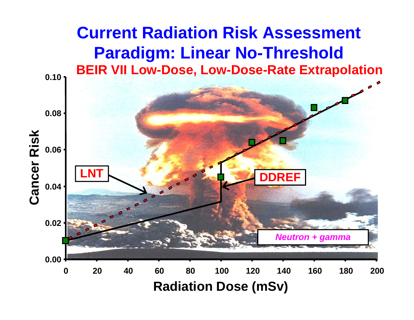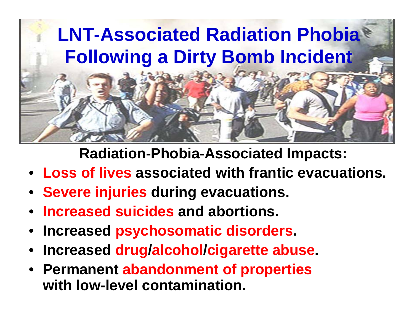

**Radiation-Phobia-Associated Impacts:**

- **Loss of lives associated with frantic evacuations.**
- **Severe injuries during evacuations.**
- •**Increased suicides and abortions.**
- **Increased psychosomatic disorders.**
- •**Increased drug /alcohol /cigarette abuse.**
- **Permanent abandonment of properties with low-level contamination.**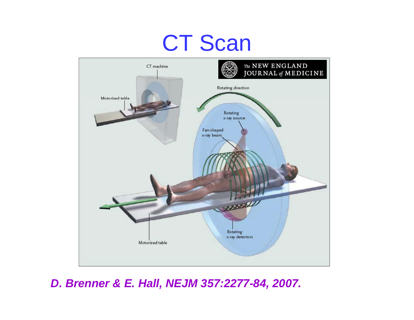# CT Scan



*D. Brenner & E. Hall, NEJM 357:2277-84, 2007.*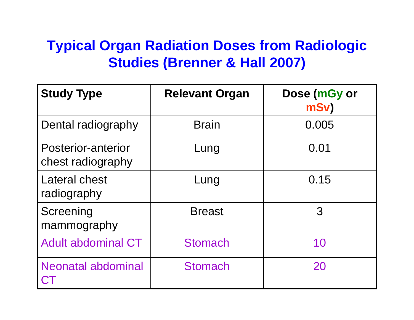#### **Typical Organ Radiation Doses from Radiologic St di (B & H ll 2007) udies (Brenner all**

| <b>Study Type</b>                       | <b>Relevant Organ</b> | Dose (mGy or<br>mSv) |
|-----------------------------------------|-----------------------|----------------------|
| Dental radiography                      | <b>Brain</b>          | 0.005                |
| Posterior-anterior<br>chest radiography | Lung                  | 0.01                 |
| Lateral chest<br>radiography            | Lung                  | 0.15                 |
| Screening<br>mammography                | <b>Breast</b>         | 3                    |
| <b>Adult abdominal CT</b>               | <b>Stomach</b>        | 10                   |
| <b>Neonatal abdominal</b>               | <b>Stomach</b>        | 20                   |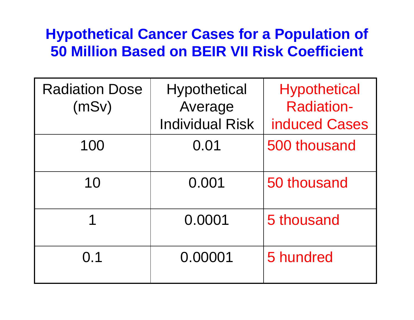#### **Hypothetical Cancer Cases for a Population of 50 Million Based on BEIR VII Risk Coefficient**

| <b>Radiation Dose</b> | <b>Hypothetical</b>    | <b>Hypothetical</b>  |
|-----------------------|------------------------|----------------------|
| (mSv)                 | Average                | <b>Radiation-</b>    |
|                       | <b>Individual Risk</b> | <b>induced Cases</b> |
| 100                   | 0.01                   | 500 thousand         |
| 10                    | 0.001                  | 50 thousand          |
|                       | 0.0001                 | 5 thousand           |
| 0.1                   | 0.00001                | 5 hundred            |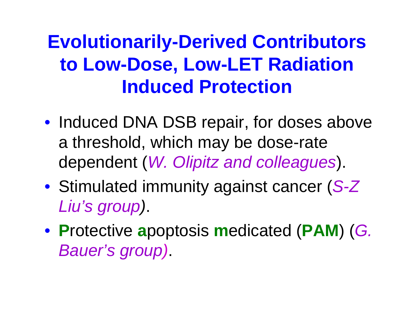### **Evolutionarily-Derived Contributors to Low-Dose, Low-LET Radiation Induced Protection**

- Induced DNA DSB repair, for doses above a threshold, which may be dose-rate dependent (*W. Olipitz and colleagues*).
- Stimulated immunity against cancer (S-Z) *Liu's group)*.
- **P**rotective **<sup>a</sup>**poptosis **<sup>m</sup>**edicated (**PAM**) (*G. Bauer's group)*.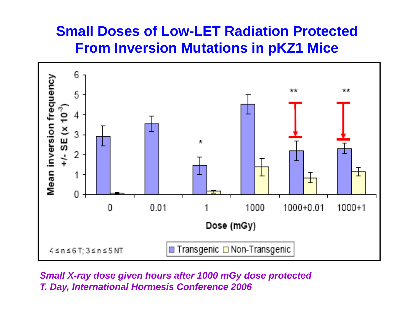#### **Small Doses of Low-LET Radiation Protected From Inversion Mutations in pKZ1 Mice**



*Small X-ray dose given hours after 1000 mGy dose protected T. Day, International Hormesis Conference 2006*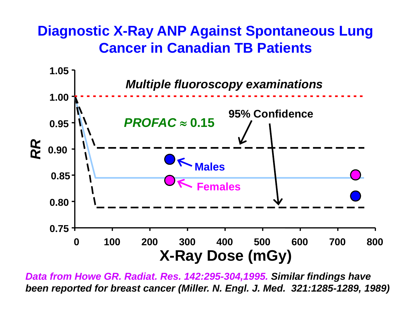#### **Diagnostic X-Ray ANP Against Spontaneous Lung Cancer in Canadian TB Patients**



*Data from Howe GR. Radiat. Res. 142:295-304,1995. Similar findings have been reported for breast cancer (Miller. N. Engl. J. Med. 321:1285-1289, 1989)*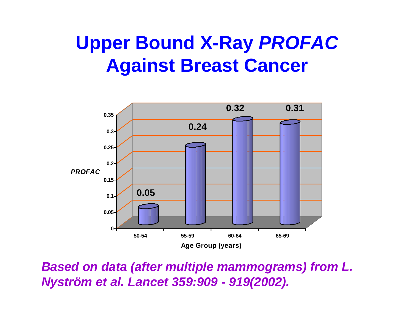### **Upper Bound X-Ray** *PROFAC* **Against Breast Cancer**



*Based on data (after multiple mammograms) from L. Nyström et al. Lancet 359:909 - 919(2002).*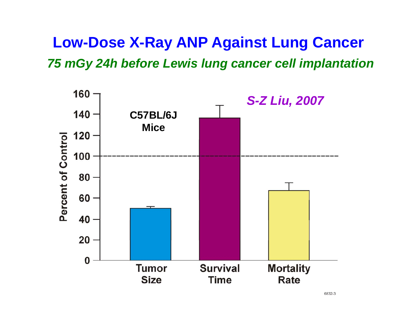#### **Low-Dose X-Ray ANP Against Lung Cancer** 75 mGy 24h before Lewis lung cancer cell implantation

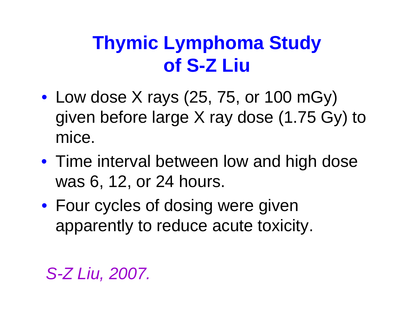### **Thymic Lymphoma Study of S-Z Liu**

- $\bullet$  Low dose X rays (25, 75, or 100 mGy) given before large X ray dose (1.75 Gy) to mice.
- Time interval between low and high dose was 6, 12, or 24 hours.
- Four cycles of dosing were given apparently to reduce acute toxicity.

#### *S-Z Liu, 2007.*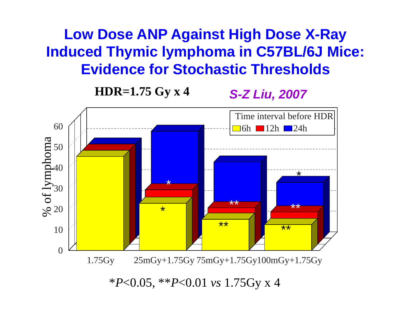#### **Low Dose ANP Against High Dose X-Ray Induced Thymic lymphoma in C57BL/6J Mice: Evidence for Stochastic Thresholds**

#### **HDR=1.75 Gy x 4**





*P*<0.05, \*\* *P*<0.01 *vs* 1.75Gy x 4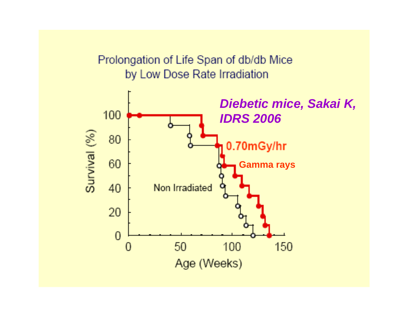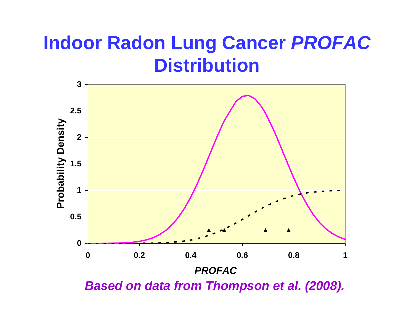### **Indoor Radon Lung Cancer** *PROFAC*  **Di t ib ti sribution**

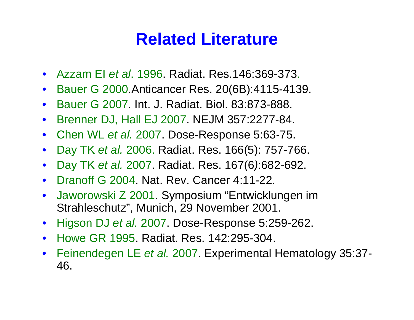#### **Related Literature**

- Azzam EI *et al*. 1996. Radiat. Res.146:369-373.
- $\bullet$ Bauer G 2000.Anticancer Res. 20(6B):4115-4139.
- $\bullet$ Bauer G 2007. Int. J. Radiat. Biol. 83:873-888.
- $\bullet$ Brenner DJ, Hall EJ 2007. NEJM 357:2277-84.
- Chen WL *et al.* 2007. Dose-Res ponse 5:63-75.
- $\bullet$ Day TK *et al.* 2006. Radiat. Res. 166(5): 757-766.
- $\bullet$ Day TK *et al.* 2007. Radiat. Res. 167(6 *)*:682-692.
- $\bullet$ • Dranoff G 2004. Nat. Rev. Cancer 4:11-22.
- $\bullet$  Jaworowski Z 2001. Symposium "Entwicklungen im Strahleschutz", Munich, 29 November 2001.
- $\bullet$ • Higson DJ *et al.* 2007. Dose-Response 5:259-262.
- Howe GR 1995. Radiat. Res. 142:295-304.
- • Feinendegen LE *et al.* 2007. Experimental Hematology 35:37- 46.